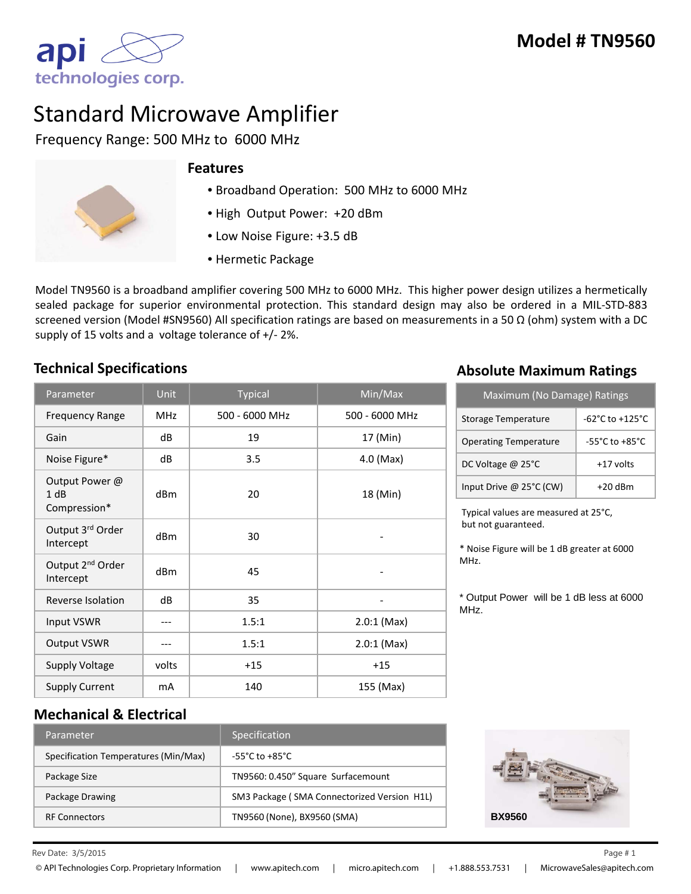

# Standard Microwave Amplifier

Frequency Range: 500 MHz to 6000 MHz



### **Features**

- Broadband Operation: 500 MHz to 6000 MHz
- High Output Power: +20 dBm
- Low Noise Figure: +3.5 dB
- Hermetic Package

Model TN9560 is a broadband amplifier covering 500 MHz to 6000 MHz. This higher power design utilizes a hermetically sealed package for superior environmental protection. This standard design may also be ordered in a MIL-STD-883 screened version (Model #SN9560) All specification ratings are based on measurements in a 50  $\Omega$  (ohm) system with a DC supply of 15 volts and a voltage tolerance of +/- 2%.

| Parameter                                 | Unit            | <b>Typical</b> | Min/Max        |
|-------------------------------------------|-----------------|----------------|----------------|
| <b>Frequency Range</b>                    | <b>MHz</b>      | 500 - 6000 MHz | 500 - 6000 MHz |
| Gain                                      | dB              | 19             | 17 (Min)       |
| Noise Figure*                             | dB              | 3.5            | 4.0 (Max)      |
| Output Power @<br>1 dB<br>Compression*    | d <sub>Bm</sub> | 20             | 18 (Min)       |
| Output 3rd Order<br>Intercept             | d <sub>Bm</sub> | 30             |                |
| Output 2 <sup>nd</sup> Order<br>Intercept | dB <sub>m</sub> | 45             |                |
| Reverse Isolation                         | dB              | 35             |                |
| Input VSWR                                |                 | 1.5:1          | $2.0:1$ (Max)  |
| <b>Output VSWR</b>                        |                 | 1.5:1          | $2.0:1$ (Max)  |
| <b>Supply Voltage</b>                     | volts           | $+15$          | $+15$          |
| <b>Supply Current</b>                     | mA              | 140            | 155 (Max)      |

# **Technical Specifications Absolute Maximum Ratings**

| Maximum (No Damage) Ratings  |                                     |  |  |
|------------------------------|-------------------------------------|--|--|
| Storage Temperature          | $-62^{\circ}$ C to $+125^{\circ}$ C |  |  |
| <b>Operating Temperature</b> | $-55^{\circ}$ C to $+85^{\circ}$ C  |  |  |
| DC Voltage @ 25°C            | +17 volts                           |  |  |
| Input Drive @ 25°C (CW)      | $+20$ dBm                           |  |  |

Typical values are measured at 25°C, but not guaranteed.

\* Noise Figure will be 1 dB greater at 6000 MHz.

\* Output Power will be 1 dB less at 6000 MHz.

## **Mechanical & Electrical**

| Parameter                            | <b>Specification</b>                        |
|--------------------------------------|---------------------------------------------|
| Specification Temperatures (Min/Max) | $-55^{\circ}$ C to $+85^{\circ}$ C.         |
| Package Size                         | TN9560: 0.450" Square Surfacemount          |
| Package Drawing                      | SM3 Package (SMA Connectorized Version H1L) |
| <b>RF Connectors</b>                 | TN9560 (None), BX9560 (SMA)                 |



Rev Date:  $3/5/2015$  Page # 1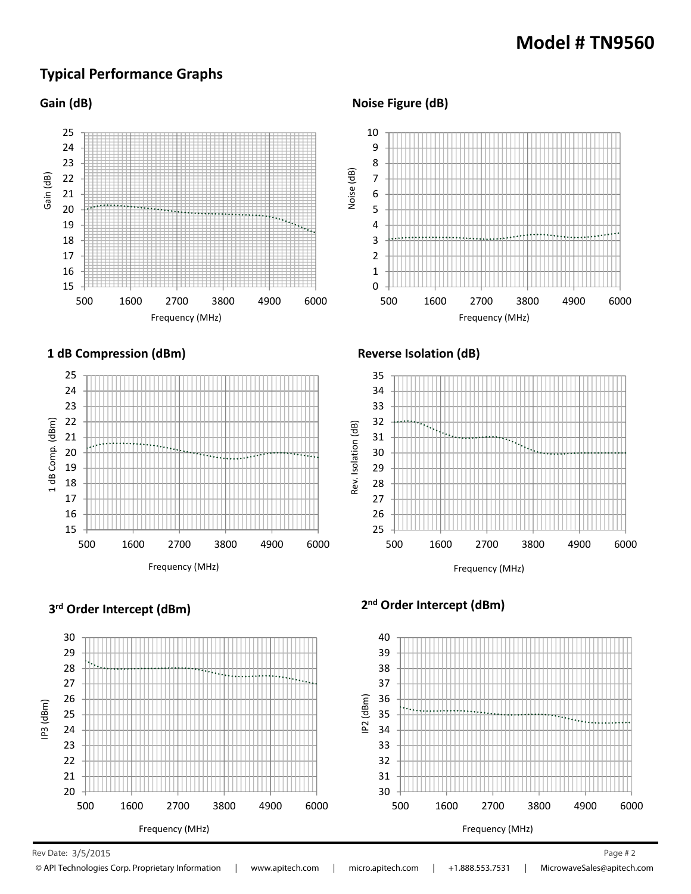# **Model # TN9560**

# **Typical Performance Graphs**







#### **Noise Figure (dB)**



#### **Reverse Isolation (dB)**





# **3rd Order Intercept (dBm) 2nd Order Intercept (dBm)**



Rev Date: 3/5/2015 Page # 2